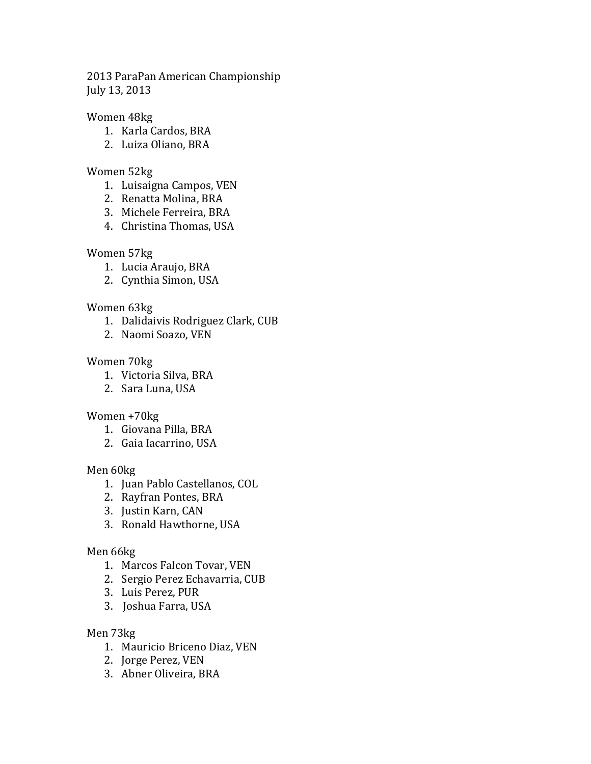2013 ParaPan American Championship July 13, 2013

### Women 48kg

- 1. Karla Cardos, BRA
- 2. Luiza Oliano, BRA

### Women 52kg

- 1. Luisaigna Campos, VEN
- 2. Renatta Molina, BRA
- 3. Michele Ferreira, BRA
- 4. Christina Thomas, USA

# Women 57kg

- 1. Lucia Araujo, BRA
- 2. Cynthia Simon, USA

# Women 63kg

- 1. Dalidaivis Rodriguez Clark, CUB
- 2. Naomi Soazo, VEN

# Women 70kg

- 1. Victoria Silva, BRA
- 2. Sara Luna, USA

### Women +70kg

- 1. Giovana Pilla, BRA
- 2. Gaia Iacarrino, USA

### Men 60kg

- 1. Juan Pablo Castellanos, COL
- 2. Rayfran Pontes, BRA
- 3. Justin Karn, CAN
- 3. Ronald Hawthorne, USA

### Men 66kg

- 1. Marcos Falcon Tovar, VEN
- 2. Sergio Perez Echavarria, CUB
- 3. Luis Perez, PUR
- 3. Joshua Farra, USA

### Men 73kg

- 1. Mauricio Briceno Diaz, VEN
- 2. Jorge Perez, VEN
- 3. Abner Oliveira, BRA